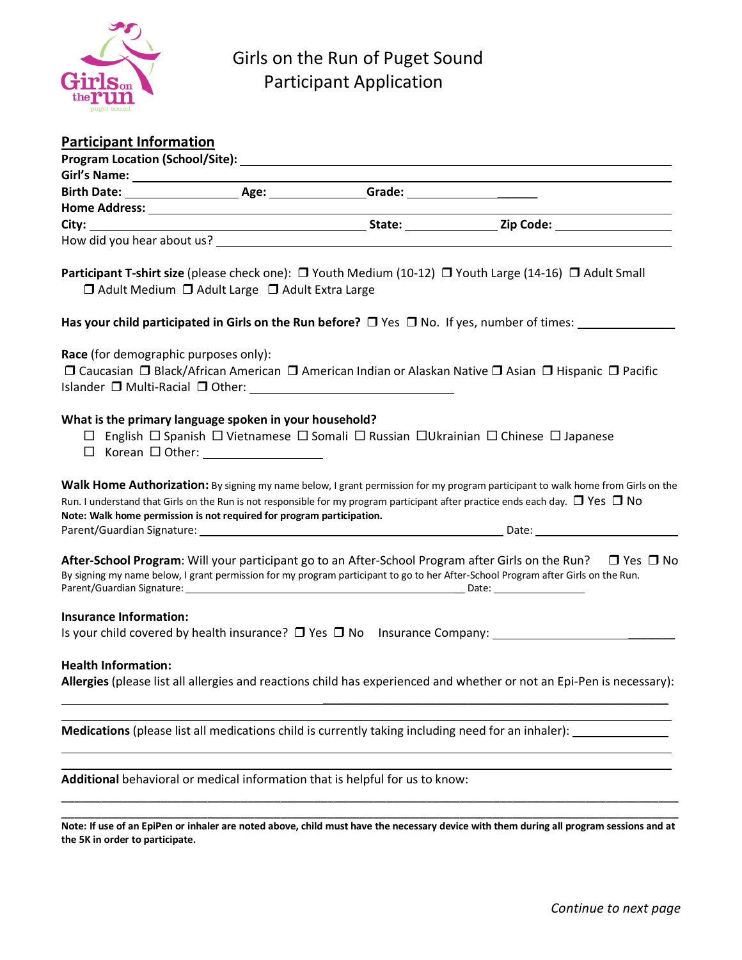

| <b>Participant Information</b>                                        |                                                                 |                                                                                                    |                                                                                                                                                                                                                                                                             |
|-----------------------------------------------------------------------|-----------------------------------------------------------------|----------------------------------------------------------------------------------------------------|-----------------------------------------------------------------------------------------------------------------------------------------------------------------------------------------------------------------------------------------------------------------------------|
|                                                                       |                                                                 |                                                                                                    |                                                                                                                                                                                                                                                                             |
|                                                                       |                                                                 |                                                                                                    |                                                                                                                                                                                                                                                                             |
|                                                                       |                                                                 |                                                                                                    |                                                                                                                                                                                                                                                                             |
|                                                                       |                                                                 |                                                                                                    |                                                                                                                                                                                                                                                                             |
|                                                                       |                                                                 |                                                                                                    |                                                                                                                                                                                                                                                                             |
|                                                                       |                                                                 |                                                                                                    |                                                                                                                                                                                                                                                                             |
|                                                                       | $\Box$ Adult Medium $\Box$ Adult Large $\Box$ Adult Extra Large |                                                                                                    | <b>Participant T-shirt size</b> (please check one): $\Box$ Youth Medium (10-12) $\Box$ Youth Large (14-16) $\Box$ Adult Small                                                                                                                                               |
|                                                                       |                                                                 |                                                                                                    | Has your child participated in Girls on the Run before? $\Box$ Yes $\Box$ No. If yes, number of times:                                                                                                                                                                      |
| Race (for demographic purposes only):                                 |                                                                 | Islander □ Multi-Racial □ Other:<br>□                                                              | □ Caucasian □ Black/African American □ American Indian or Alaskan Native □ Asian □ Hispanic □ Pacific                                                                                                                                                                       |
| What is the primary language spoken in your household?                |                                                                 |                                                                                                    | $\Box$ English $\Box$ Spanish $\Box$ Vietnamese $\Box$ Somali $\Box$ Russian $\Box$ Ukrainian $\Box$ Chinese $\Box$ Japanese                                                                                                                                                |
| Note: Walk home permission is not required for program participation. |                                                                 |                                                                                                    | Walk Home Authorization: By signing my name below, I grant permission for my program participant to walk home from Girls on the<br>Run. I understand that Girls on the Run is not responsible for my program participant after practice ends each day. $\Box$ Yes $\Box$ No |
|                                                                       |                                                                 |                                                                                                    | <b>After-School Program</b> : Will your participant go to an After-School Program after Girls on the Run? $\Box$ Yes $\Box$ No<br>By signing my name below, I grant permission for my program participant to go to her After-School Program after Girls on the Run.         |
| <b>Insurance Information:</b>                                         |                                                                 |                                                                                                    | Is your child covered by health insurance? $\Box$ Yes $\Box$ No Insurance Company:                                                                                                                                                                                          |
| <b>Health Information:</b>                                            |                                                                 |                                                                                                    | Allergies (please list all allergies and reactions child has experienced and whether or not an Epi-Pen is necessary):                                                                                                                                                       |
|                                                                       |                                                                 | Medications (please list all medications child is currently taking including need for an inhaler): |                                                                                                                                                                                                                                                                             |
|                                                                       |                                                                 | Additional behavioral or medical information that is helpful for us to know:                       |                                                                                                                                                                                                                                                                             |

\_\_\_\_\_\_\_\_\_\_\_\_\_\_\_\_\_\_\_\_\_\_\_\_\_\_\_\_\_\_\_\_\_\_\_\_\_\_\_\_\_\_\_\_\_\_\_\_\_\_\_\_\_\_\_\_\_\_\_\_\_\_\_\_\_\_\_\_\_\_\_\_\_\_\_\_\_\_\_\_\_\_\_\_\_\_\_\_\_\_\_\_\_ **Note: If use of an EpiPen or inhaler are noted above, child must have the necessary device with them during all program sessions and at the 5K in order to participate.**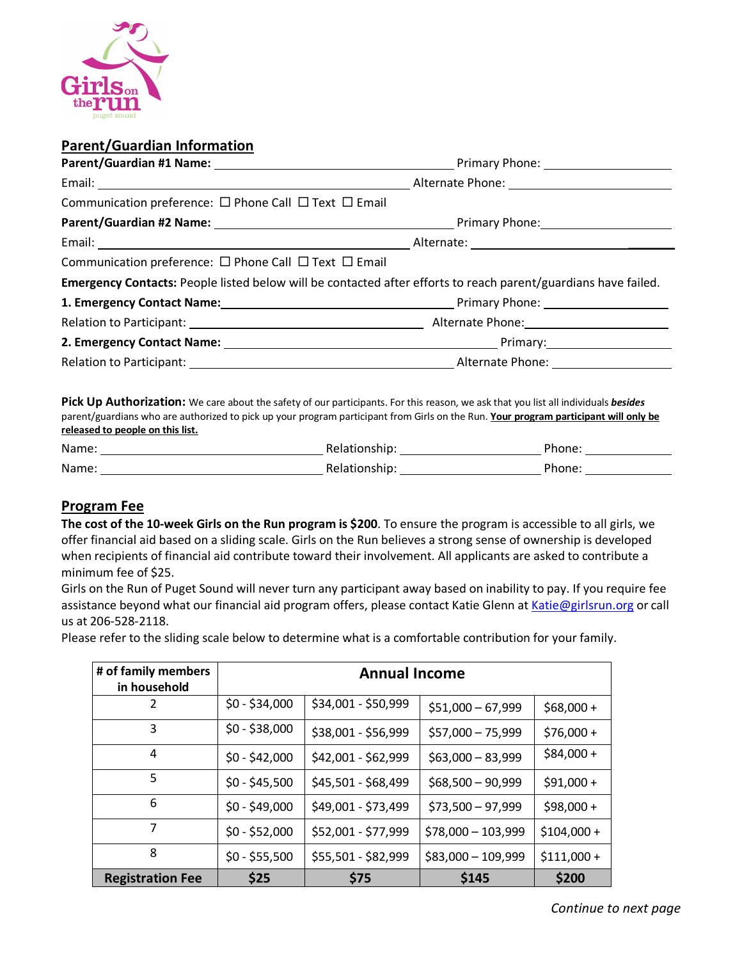

# **Parent/Guardian Information**

| Communication preference: $\Box$ Phone Call $\Box$ Text $\Box$ Email                                           |  |
|----------------------------------------------------------------------------------------------------------------|--|
|                                                                                                                |  |
|                                                                                                                |  |
| Communication preference: $\Box$ Phone Call $\Box$ Text $\Box$ Email                                           |  |
| Emergency Contacts: People listed below will be contacted after efforts to reach parent/guardians have failed. |  |
| 1. Emergency Contact Name: 1. Emergency Contact Name: 1. Emergency Contact Name: 1. Emergency Contact Name: 1. |  |
|                                                                                                                |  |
|                                                                                                                |  |
| Relation to Participant: Network and Security Alternate Phone: Network and Security Alternate Phone:           |  |
|                                                                                                                |  |

**Pick Up Authorization:** We care about the safety of our participants. For this reason, we ask that you list all individuals *besides* parent/guardians who are authorized to pick up your program participant from Girls on the Run. **Your program participant will only be released to people on this list.**

| Name: | Relationship. | 'hone |
|-------|---------------|-------|
| Name: | Relationshir  | Phone |

## **Program Fee**

**The cost of the 10-week Girls on the Run program is \$200**. To ensure the program is accessible to all girls, we offer financial aid based on a sliding scale. Girls on the Run believes a strong sense of ownership is developed when recipients of financial aid contribute toward their involvement. All applicants are asked to contribute a minimum fee of \$25.

Girls on the Run of Puget Sound will never turn any participant away based on inability to pay. If you require fee assistance beyond what our financial aid program offers, please contact Katie Glenn at Katie@girlsrun.org or call us at 206-528-2118.

Please refer to the sliding scale below to determine what is a comfortable contribution for your family.

| # of family members<br>in household | <b>Annual Income</b> |                     |                     |              |
|-------------------------------------|----------------------|---------------------|---------------------|--------------|
| 2                                   | $$0 - $34,000$       | \$34,001 - \$50,999 | $$51,000 - 67,999$  | $$68,000 +$  |
| 3                                   | $$0 - $38,000$       | \$38,001 - \$56,999 | \$57,000 - 75,999   | $$76,000 +$  |
| 4                                   | $$0 - $42,000$       | \$42,001 - \$62,999 | $$63,000 - 83,999$  | $$84,000 +$  |
| 5                                   | $$0 - $45,500$       | \$45,501 - \$68,499 | $$68,500 - 90,999$  | $$91,000 +$  |
| 6                                   | $$0 - $49,000$       | \$49,001 - \$73,499 | $$73,500 - 97,999$  | $$98,000 +$  |
| $\overline{7}$                      | $$0 - $52,000$       | \$52,001 - \$77,999 | $$78,000 - 103,999$ | $$104,000 +$ |
| 8                                   | $$0 - $55,500$       | \$55,501 - \$82,999 | $$83,000 - 109,999$ | $$111,000+$  |
| <b>Registration Fee</b>             | \$25                 | \$75                | \$145               | \$200        |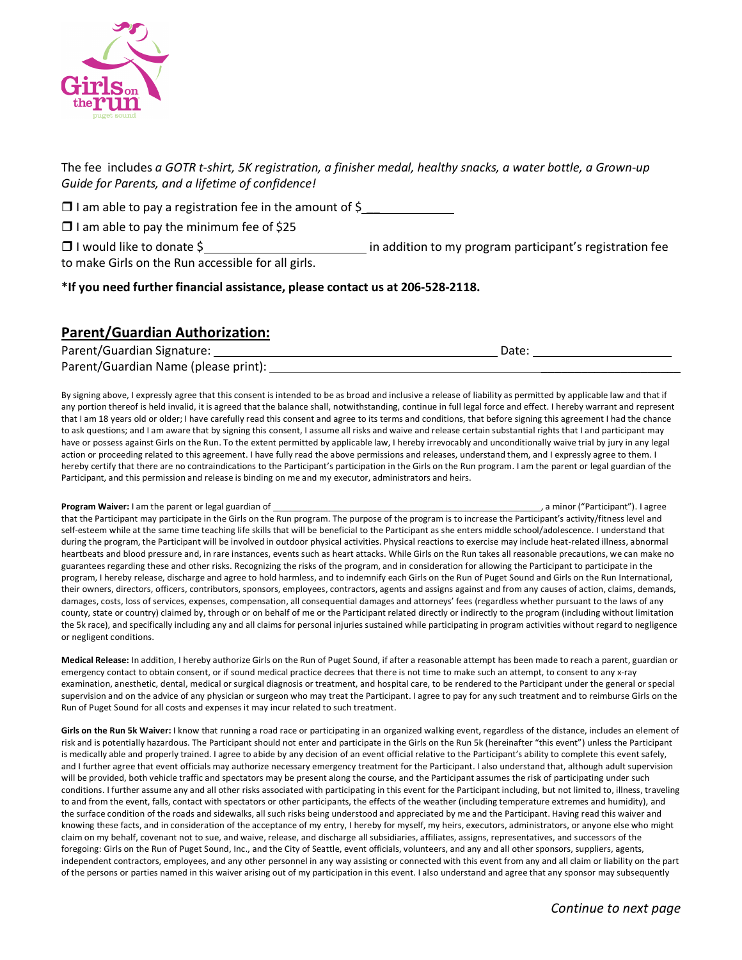

The fee includes *a GOTR t-shirt, 5K registration, a finisher medal, healthy snacks, a water bottle, a Grown-up Guide for Parents, and a lifetime of confidence!*

 $\square$  I am able to pay a registration fee in the amount of \$

 $\Box$  I am able to pay the minimum fee of \$25

 $\Box$  I would like to donate \$ to make Girls on the Run accessible for all girls.

**\*If you need further financial assistance, please contact us at 206-528-2118.**

# **Parent/Guardian Authorization:**

| Parent/Guardian Signature:           | Date: |
|--------------------------------------|-------|
| Parent/Guardian Name (please print): |       |

By signing above, I expressly agree that this consent is intended to be as broad and inclusive a release of liability as permitted by applicable law and that if any portion thereof is held invalid, it is agreed that the balance shall, notwithstanding, continue in full legal force and effect. I hereby warrant and represent that I am 18 years old or older; I have carefully read this consent and agree to its terms and conditions, that before signing this agreement I had the chance to ask questions; and I am aware that by signing this consent, I assume all risks and waive and release certain substantial rights that I and participant may have or possess against Girls on the Run. To the extent permitted by applicable law, I hereby irrevocably and unconditionally waive trial by jury in any legal action or proceeding related to this agreement. I have fully read the above permissions and releases, understand them, and I expressly agree to them. I hereby certify that there are no contraindications to the Participant's participation in the Girls on the Run program. I am the parent or legal guardian of the Participant, and this permission and release is binding on me and my executor, administrators and heirs.

**Program Waiver:** I am the parent or legal guardian of , a minor ("Participant"). I agree that the Participant may participate in the Girls on the Run program. The purpose of the program is to increase the Participant's activity/fitness level and self-esteem while at the same time teaching life skills that will be beneficial to the Participant as she enters middle school/adolescence. I understand that during the program, the Participant will be involved in outdoor physical activities. Physical reactions to exercise may include heat-related illness, abnormal heartbeats and blood pressure and, in rare instances, events such as heart attacks. While Girls on the Run takes all reasonable precautions, we can make no guarantees regarding these and other risks. Recognizing the risks of the program, and in consideration for allowing the Participant to participate in the program, I hereby release, discharge and agree to hold harmless, and to indemnify each Girls on the Run of Puget Sound and Girls on the Run International, their owners, directors, officers, contributors, sponsors, employees, contractors, agents and assigns against and from any causes of action, claims, demands, damages, costs, loss of services, expenses, compensation, all consequential damages and attorneys' fees (regardless whether pursuant to the laws of any county, state or country) claimed by, through or on behalf of me or the Participant related directly or indirectly to the program (including without limitation the 5k race), and specifically including any and all claims for personal injuries sustained while participating in program activities without regard to negligence or negligent conditions.

**Medical Release:** In addition, I hereby authorize Girls on the Run of Puget Sound, if after a reasonable attempt has been made to reach a parent, guardian or emergency contact to obtain consent, or if sound medical practice decrees that there is not time to make such an attempt, to consent to any x-ray examination, anesthetic, dental, medical or surgical diagnosis or treatment, and hospital care, to be rendered to the Participant under the general or special supervision and on the advice of any physician or surgeon who may treat the Participant. I agree to pay for any such treatment and to reimburse Girls on the Run of Puget Sound for all costs and expenses it may incur related to such treatment.

Girls on the Run 5k Waiver: I know that running a road race or participating in an organized walking event, regardless of the distance, includes an element of risk and is potentially hazardous. The Participant should not enter and participate in the Girls on the Run 5k (hereinafter "this event") unless the Participant is medically able and properly trained. I agree to abide by any decision of an event official relative to the Participant's ability to complete this event safely, and I further agree that event officials may authorize necessary emergency treatment for the Participant. I also understand that, although adult supervision will be provided, both vehicle traffic and spectators may be present along the course, and the Participant assumes the risk of participating under such conditions. I further assume any and all other risks associated with participating in this event for the Participant including, but not limited to, illness, traveling to and from the event, falls, contact with spectators or other participants, the effects of the weather (including temperature extremes and humidity), and the surface condition of the roads and sidewalks, all such risks being understood and appreciated by me and the Participant. Having read this waiver and knowing these facts, and in consideration of the acceptance of my entry, I hereby for myself, my heirs, executors, administrators, or anyone else who might claim on my behalf, covenant not to sue, and waive, release, and discharge all subsidiaries, affiliates, assigns, representatives, and successors of the foregoing: Girls on the Run of Puget Sound, Inc., and the City of Seattle, event officials, volunteers, and any and all other sponsors, suppliers, agents, independent contractors, employees, and any other personnel in any way assisting or connected with this event from any and all claim or liability on the part of the persons or parties named in this waiver arising out of my participation in this event. I also understand and agree that any sponsor may subsequently